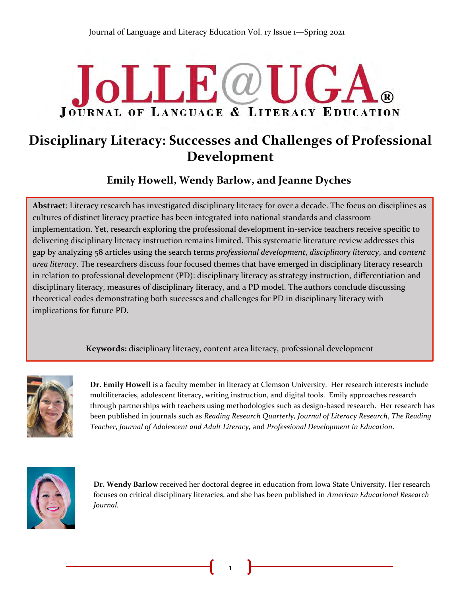# **JoLLE**@U **JOURNAL OF LANGUAGE & LITERACY EDUCATION**

## **Disciplinary Literacy: Successes and Challenges of Professional Development**

**Emily Howell, Wendy Barlow, and Jeanne Dyches**

**Abstract**: Literacy research has investigated disciplinary literacy for over a decade. The focus on disciplines as cultures of distinct literacy practice has been integrated into national standards and classroom implementation. Yet, research exploring the professional development in-service teachers receive specific to & delivering disciplinary literacy instruction remains limited. This systematic literature review addresses this gap by analyzing 58 articles using the search terms *professional development*, *disciplinary literacy*, and *content area literacy*. The researchers discuss four focused themes that have emerged in disciplinary literacy research in relation to professional development (PD): disciplinary literacy as strategy instruction, differentiation and disciplinary literacy, measures of disciplinary literacy, and a PD model. The authors conclude discussing theoretical codes demonstrating both successes and challenges for PD in disciplinary literacy with implications for future PD.

**Keywords:** disciplinary literacy, content area literacy, professional development



**Dr. Emily Howell** is a faculty member in literacy at Clemson University. Her research interests include multiliteracies, adolescent literacy, writing instruction, and digital tools. Emily approaches research through partnerships with teachers using methodologies such as design-based research. Her research has been published in journals such as *Reading Research Quarterly, Journal of Literacy Research*, *The Reading Teacher*, *Journal of Adolescent and Adult Literacy,* and *Professional Development in Education*.



**Dr. Wendy Barlow** received her doctoral degree in education from Iowa State University. Her research focuses on critical disciplinary literacies, and she has been published in *American Educational Research Journal.*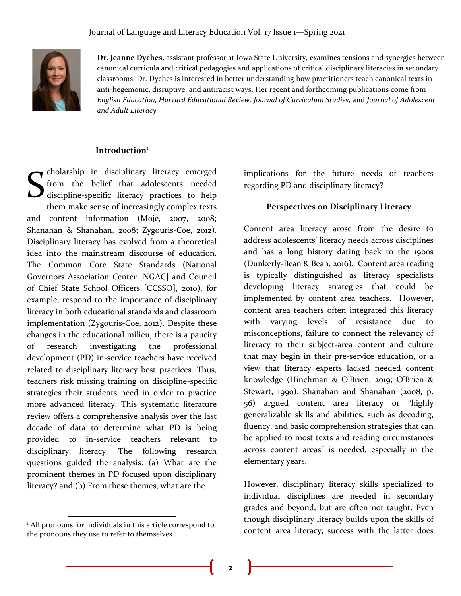

**Dr. Jeanne Dyches,** assistant professor at Iowa State University, examines tensions and synergies between canonical curricula and critical pedagogies and applications of critical disciplinary literacies in secondary classrooms. Dr. Dyches is interested in better understanding how practitioners teach canonical texts in anti-hegemonic, disruptive, and antiracist ways. Her recent and forthcoming publications come from *English Education, Harvard Educational Review, Journal of Curriculum Studies,* and *Journal of Adolescent and Adult Literacy.*

## **Introduction<sup>1</sup>** .

cholarship in disciplinary literacy emerged from the belief that adolescents needed discipline-specific literacy practices to help them make sense of increasingly complex texts and content information (Moje, 2007, 2008; Shanahan & Shanahan, 2008; Zygouris-Coe, 2012). Disciplinary literacy has evolved from a theoretical idea into the mainstream discourse of education. The Common Core State Standards (National Governors Association Center [NGAC] and Council of Chief State School Officers [CCSSO], 2010), for example, respond to the importance of disciplinary literacy in both educational standards and classroom implementation (Zygouris-Coe, 2012). Despite these changes in the educational milieu, there is a paucity of research investigating the professional development (PD) in-service teachers have received related to disciplinary literacy best practices. Thus, teachers risk missing training on discipline-specific strategies their students need in order to practice more advanced literacy. This systematic literature review offers a comprehensive analysis over the last decade of data to determine what PD is being provided to in-service teachers relevant to disciplinary literacy. The following research questions guided the analysis: (a) What are the prominent themes in PD focused upon disciplinary literacy? and (b) From these themes, what are the S

implications for the future needs of teachers regarding PD and disciplinary literacy?

#### **Perspectives on Disciplinary Literacy**

Content area literacy arose from the desire to address adolescents' literacy needs across disciplines and has a long history dating back to the 1900s (Dunkerly-Bean & Bean, 2016). Content area reading is typically distinguished as literacy specialists developing literacy strategies that could be implemented by content area teachers. However, content area teachers often integrated this literacy with varying levels of resistance due to misconceptions, failure to connect the relevancy of literacy to their subject-area content and culture that may begin in their pre-service education, or a view that literacy experts lacked needed content knowledge (Hinchman & O'Brien, 2019; O'Brien & Stewart, 1990). Shanahan and Shanahan (2008, p. 56) argued content area literacy or "highly generalizable skills and abilities, such as decoding, fluency, and basic comprehension strategies that can be applied to most texts and reading circumstances across content areas" is needed, especially in the elementary years.

However, disciplinary literacy skills specialized to individual disciplines are needed in secondary grades and beyond, but are often not taught. Even though disciplinary literacy builds upon the skills of content area literacy, success with the latter does

<sup>&</sup>lt;sup>1</sup> All pronouns for individuals in this article correspond to the pronouns they use to refer to themselves.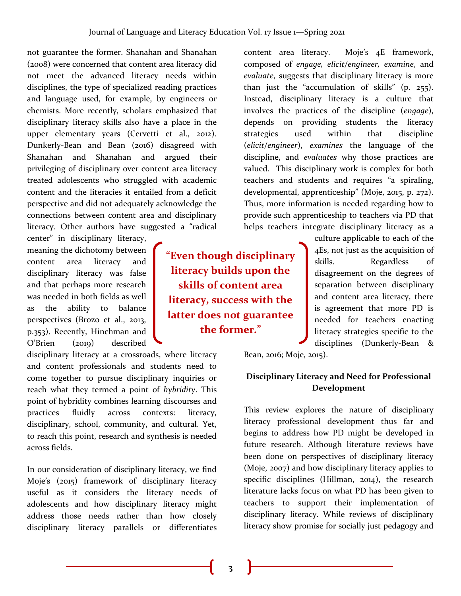not guarantee the former. Shanahan and Shanahan (2008) were concerned that content area literacy did not meet the advanced literacy needs within disciplines, the type of specialized reading practices and language used, for example, by engineers or chemists. More recently, scholars emphasized that disciplinary literacy skills also have a place in the upper elementary years (Cervetti et al., 2012). Dunkerly-Bean and Bean (2016) disagreed with Shanahan and Shanahan and argued their privileging of disciplinary over content area literacy treated adolescents who struggled with academic content and the literacies it entailed from a deficit perspective and did not adequately acknowledge the connections between content area and disciplinary literacy. Other authors have suggested a "radical

center" in disciplinary literacy, meaning the dichotomy between content area literacy and disciplinary literacy was false and that perhaps more research was needed in both fields as well as the ability to balance perspectives (Brozo et al., 2013, p.353). Recently, Hinchman and O'Brien (2019) described

disciplinary literacy at a crossroads, where literacy and content professionals and students need to come together to pursue disciplinary inquiries or reach what they termed a point of *hybridity*. This point of hybridity combines learning discourses and practices fluidly across contexts: literacy, disciplinary, school, community, and cultural. Yet, to reach this point, research and synthesis is needed across fields.

In our consideration of disciplinary literacy, we find Moje's (2015) framework of disciplinary literacy useful as it considers the literacy needs of adolescents and how disciplinary literacy might address those needs rather than how closely disciplinary literacy parallels or differentiates

**"Even though disciplinary literacy builds upon the skills of content area literacy, success with the latter does not guarantee the former."**

content area literacy. Moje's 4E framework, composed of *engage, elicit/engineer, examine*, and *evaluate*, suggests that disciplinary literacy is more than just the "accumulation of skills" (p. 255). Instead, disciplinary literacy is a culture that involves the practices of the discipline (*engage*), depends on providing students the literacy strategies used within that discipline (*elicit/engineer*), *examines* the language of the discipline, and *evaluates* why those practices are valued. This disciplinary work is complex for both teachers and students and requires "a spiraling, developmental, apprenticeship" (Moje, 2015, p. 272). Thus, more information is needed regarding how to provide such apprenticeship to teachers via PD that helps teachers integrate disciplinary literacy as a

> culture applicable to each of the 4Es, not just as the acquisition of skills. Regardless of disagreement on the degrees of separation between disciplinary and content area literacy, there is agreement that more PD is needed for teachers enacting literacy strategies specific to the disciplines (Dunkerly-Bean &

Bean, 2016; Moje, 2015).

## **Disciplinary Literacy and Need for Professional Development**

This review explores the nature of disciplinary literacy professional development thus far and begins to address how PD might be developed in future research. Although literature reviews have been done on perspectives of disciplinary literacy (Moje, 2007) and how disciplinary literacy applies to specific disciplines (Hillman, 2014), the research literature lacks focus on what PD has been given to teachers to support their implementation of disciplinary literacy. While reviews of disciplinary literacy show promise for socially just pedagogy and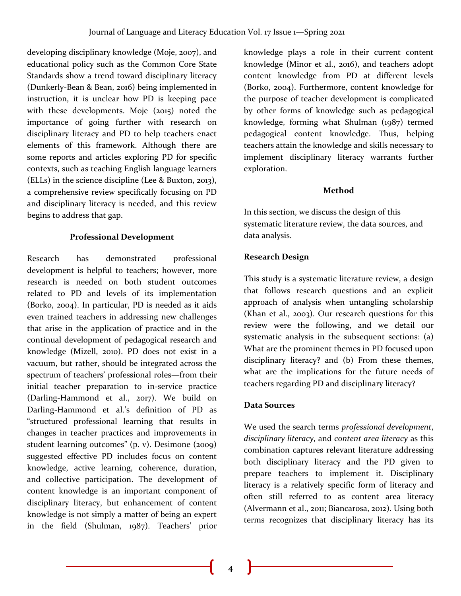developing disciplinary knowledge (Moje, 2007), and educational policy such as the Common Core State Standards show a trend toward disciplinary literacy (Dunkerly-Bean & Bean, 2016) being implemented in instruction, it is unclear how PD is keeping pace with these developments. Moje (2015) noted the importance of going further with research on disciplinary literacy and PD to help teachers enact elements of this framework. Although there are some reports and articles exploring PD for specific contexts, such as teaching English language learners (ELLs) in the science discipline (Lee & Buxton, 2013), a comprehensive review specifically focusing on PD and disciplinary literacy is needed, and this review begins to address that gap.

#### **Professional Development**

Research has demonstrated professional development is helpful to teachers; however, more research is needed on both student outcomes related to PD and levels of its implementation (Borko, 2004). In particular, PD is needed as it aids even trained teachers in addressing new challenges that arise in the application of practice and in the continual development of pedagogical research and knowledge (Mizell, 2010). PD does not exist in a vacuum, but rather, should be integrated across the spectrum of teachers' professional roles—from their initial teacher preparation to in-service practice (Darling-Hammond et al., 2017). We build on Darling-Hammond et al.'s definition of PD as "structured professional learning that results in changes in teacher practices and improvements in student learning outcomes" (p. v). Desimone (2009) suggested effective PD includes focus on content knowledge, active learning, coherence, duration, and collective participation. The development of content knowledge is an important component of disciplinary literacy, but enhancement of content knowledge is not simply a matter of being an expert in the field (Shulman, 1987). Teachers' prior

knowledge plays a role in their current content knowledge (Minor et al., 2016), and teachers adopt content knowledge from PD at different levels (Borko, 2004). Furthermore, content knowledge for the purpose of teacher development is complicated by other forms of knowledge such as pedagogical knowledge, forming what Shulman (1987) termed pedagogical content knowledge. Thus, helping teachers attain the knowledge and skills necessary to implement disciplinary literacy warrants further exploration.

## **Method**

In this section, we discuss the design of this systematic literature review, the data sources, and data analysis.

## **Research Design**

This study is a systematic literature review, a design that follows research questions and an explicit approach of analysis when untangling scholarship (Khan et al., 2003). Our research questions for this review were the following, and we detail our systematic analysis in the subsequent sections: (a) What are the prominent themes in PD focused upon disciplinary literacy? and (b) From these themes, what are the implications for the future needs of teachers regarding PD and disciplinary literacy?

## **Data Sources**

We used the search terms *professional development*, *disciplinary literacy*, and *content area literacy* as this combination captures relevant literature addressing both disciplinary literacy and the PD given to prepare teachers to implement it. Disciplinary literacy is a relatively specific form of literacy and often still referred to as content area literacy (Alvermann et al., 2011; Biancarosa, 2012). Using both terms recognizes that disciplinary literacy has its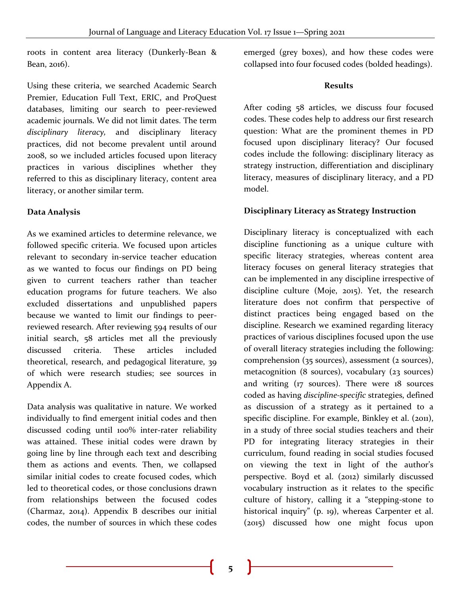roots in content area literacy (Dunkerly-Bean & Bean, 2016).

Using these criteria, we searched Academic Search Premier, Education Full Text, ERIC, and ProQuest databases, limiting our search to peer-reviewed academic journals. We did not limit dates. The term *disciplinary literacy,* and disciplinary literacy practices, did not become prevalent until around 2008, so we included articles focused upon literacy practices in various disciplines whether they referred to this as disciplinary literacy, content area literacy, or another similar term.

## **Data Analysis**

As we examined articles to determine relevance, we followed specific criteria. We focused upon articles relevant to secondary in-service teacher education as we wanted to focus our findings on PD being given to current teachers rather than teacher education programs for future teachers. We also excluded dissertations and unpublished papers because we wanted to limit our findings to peerreviewed research. After reviewing 594 results of our initial search, 58 articles met all the previously discussed criteria. These articles included theoretical, research, and pedagogical literature, 39 of which were research studies; see sources in Appendix A.

Data analysis was qualitative in nature. We worked individually to find emergent initial codes and then discussed coding until 100% inter-rater reliability was attained. These initial codes were drawn by going line by line through each text and describing them as actions and events. Then, we collapsed similar initial codes to create focused codes, which led to theoretical codes, or those conclusions drawn from relationships between the focused codes (Charmaz, 2014). Appendix B describes our initial codes, the number of sources in which these codes

emerged (grey boxes), and how these codes were collapsed into four focused codes (bolded headings).

#### **Results**

After coding 58 articles, we discuss four focused codes. These codes help to address our first research question: What are the prominent themes in PD focused upon disciplinary literacy? Our focused codes include the following: disciplinary literacy as strategy instruction, differentiation and disciplinary literacy, measures of disciplinary literacy, and a PD model.

## **Disciplinary Literacy as Strategy Instruction**

Disciplinary literacy is conceptualized with each discipline functioning as a unique culture with specific literacy strategies, whereas content area literacy focuses on general literacy strategies that can be implemented in any discipline irrespective of discipline culture (Moje, 2015). Yet, the research literature does not confirm that perspective of distinct practices being engaged based on the discipline. Research we examined regarding literacy practices of various disciplines focused upon the use of overall literacy strategies including the following: comprehension (35 sources), assessment (2 sources), metacognition (8 sources), vocabulary (23 sources) and writing (17 sources). There were 18 sources coded as having *discipline-specific* strategies, defined as discussion of a strategy as it pertained to a specific discipline. For example, Binkley et al. (2011), in a study of three social studies teachers and their PD for integrating literacy strategies in their curriculum, found reading in social studies focused on viewing the text in light of the author's perspective. Boyd et al. (2012) similarly discussed vocabulary instruction as it relates to the specific culture of history, calling it a "stepping-stone to historical inquiry" (p. 19), whereas Carpenter et al. (2015) discussed how one might focus upon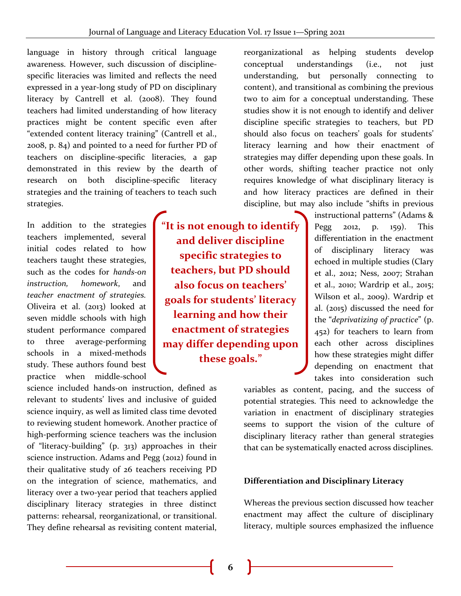language in history through critical language awareness. However, such discussion of disciplinespecific literacies was limited and reflects the need expressed in a year-long study of PD on disciplinary literacy by Cantrell et al. (2008). They found teachers had limited understanding of how literacy practices might be content specific even after "extended content literacy training" (Cantrell et al., 2008, p. 84) and pointed to a need for further PD of teachers on discipline-specific literacies, a gap demonstrated in this review by the dearth of research on both discipline-specific literacy strategies and the training of teachers to teach such strategies.

In addition to the strategies teachers implemented, several initial codes related to how teachers taught these strategies, such as the codes for *hands-on instruction, homework*, and *teacher enactment of strategies.* Oliveira et al. (2013) looked at seven middle schools with high student performance compared to three average-performing schools in a mixed-methods study. These authors found best practice when middle-school

science included hands-on instruction, defined as relevant to students' lives and inclusive of guided science inquiry, as well as limited class time devoted to reviewing student homework. Another practice of high-performing science teachers was the inclusion of "literacy-building" (p. 313) approaches in their science instruction. Adams and Pegg (2012) found in their qualitative study of 26 teachers receiving PD on the integration of science, mathematics, and literacy over a two-year period that teachers applied disciplinary literacy strategies in three distinct patterns: rehearsal, reorganizational, or transitional. They define rehearsal as revisiting content material,

**"It is not enough to identify and deliver discipline specific strategies to teachers, but PD should also focus on teachers' goals for students' literacy learning and how their enactment of strategies may differ depending upon these goals."**

reorganizational as helping students develop conceptual understandings (i.e., not just understanding, but personally connecting to content), and transitional as combining the previous two to aim for a conceptual understanding. These studies show it is not enough to identify and deliver discipline specific strategies to teachers, but PD should also focus on teachers' goals for students' literacy learning and how their enactment of strategies may differ depending upon these goals. In other words, shifting teacher practice not only requires knowledge of what disciplinary literacy is and how literacy practices are defined in their discipline, but may also include "shifts in previous

> instructional patterns" (Adams & Pegg 2012, p. 159). This differentiation in the enactment of disciplinary literacy was echoed in multiple studies (Clary et al., 2012; Ness, 2007; Strahan et al., 2010; Wardrip et al., 2015; Wilson et al., 2009). Wardrip et al. (2015) discussed the need for the "*deprivatizing of practice*" (p. 452) for teachers to learn from each other across disciplines how these strategies might differ depending on enactment that takes into consideration such

variables as content, pacing, and the success of potential strategies. This need to acknowledge the variation in enactment of disciplinary strategies seems to support the vision of the culture of disciplinary literacy rather than general strategies that can be systematically enacted across disciplines.

#### **Differentiation and Disciplinary Literacy**

Whereas the previous section discussed how teacher enactment may affect the culture of disciplinary literacy, multiple sources emphasized the influence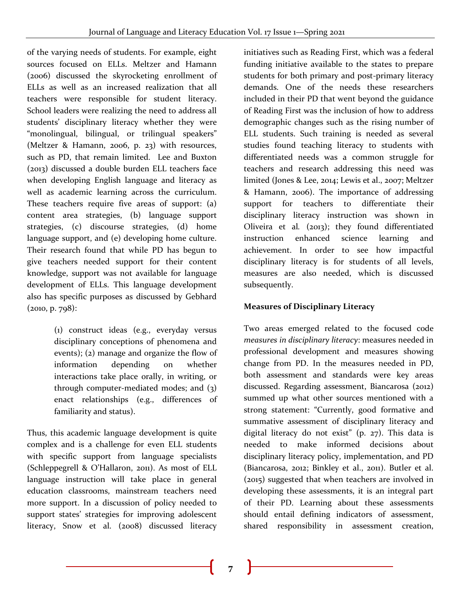of the varying needs of students. For example, eight sources focused on ELLs. Meltzer and Hamann (2006) discussed the skyrocketing enrollment of ELLs as well as an increased realization that all teachers were responsible for student literacy. School leaders were realizing the need to address all students' disciplinary literacy whether they were "monolingual, bilingual, or trilingual speakers" (Meltzer & Hamann, 2006, p. 23) with resources, such as PD, that remain limited. Lee and Buxton (2013) discussed a double burden ELL teachers face when developing English language and literacy as well as academic learning across the curriculum. These teachers require five areas of support: (a) content area strategies, (b) language support strategies, (c) discourse strategies, (d) home language support, and (e) developing home culture. Their research found that while PD has begun to give teachers needed support for their content knowledge, support was not available for language development of ELLs. This language development also has specific purposes as discussed by Gebhard  $(2010, p. 798)$ :

> (1) construct ideas (e.g., everyday versus disciplinary conceptions of phenomena and events); (2) manage and organize the flow of information depending on whether interactions take place orally, in writing, or through computer-mediated modes; and (3) enact relationships (e.g., differences of familiarity and status).

Thus, this academic language development is quite complex and is a challenge for even ELL students with specific support from language specialists (Schleppegrell & O'Hallaron, 2011). As most of ELL language instruction will take place in general education classrooms, mainstream teachers need more support. In a discussion of policy needed to support states' strategies for improving adolescent literacy, Snow et al. (2008) discussed literacy initiatives such as Reading First, which was a federal funding initiative available to the states to prepare students for both primary and post-primary literacy demands. One of the needs these researchers included in their PD that went beyond the guidance of Reading First was the inclusion of how to address demographic changes such as the rising number of ELL students. Such training is needed as several studies found teaching literacy to students with differentiated needs was a common struggle for teachers and research addressing this need was limited (Jones & Lee, 2014; Lewis et al., 2007; Meltzer & Hamann, 2006). The importance of addressing support for teachers to differentiate their disciplinary literacy instruction was shown in Oliveira et al*.* (2013); they found differentiated instruction enhanced science learning and achievement. In order to see how impactful disciplinary literacy is for students of all levels, measures are also needed, which is discussed subsequently.

## **Measures of Disciplinary Literacy**

Two areas emerged related to the focused code *measures in disciplinary literacy*: measures needed in professional development and measures showing change from PD. In the measures needed in PD, both assessment and standards were key areas discussed. Regarding assessment, Biancarosa (2012) summed up what other sources mentioned with a strong statement: "Currently, good formative and summative assessment of disciplinary literacy and digital literacy do not exist" (p. 27). This data is needed to make informed decisions about disciplinary literacy policy, implementation, and PD (Biancarosa, 2012; Binkley et al., 2011). Butler et al. (2015) suggested that when teachers are involved in developing these assessments, it is an integral part of their PD. Learning about these assessments should entail defining indicators of assessment, shared responsibility in assessment creation,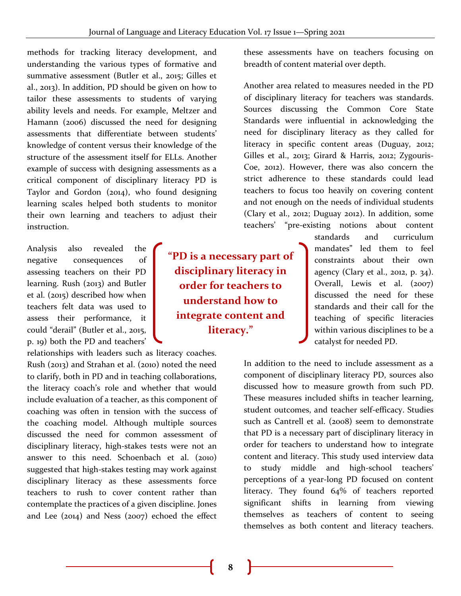methods for tracking literacy development, and understanding the various types of formative and summative assessment (Butler et al., 2015; Gilles et al., 2013). In addition, PD should be given on how to tailor these assessments to students of varying ability levels and needs. For example, Meltzer and Hamann (2006) discussed the need for designing assessments that differentiate between students' knowledge of content versus their knowledge of the structure of the assessment itself for ELLs. Another example of success with designing assessments as a critical component of disciplinary literacy PD is Taylor and Gordon (2014), who found designing learning scales helped both students to monitor their own learning and teachers to adjust their instruction.

Analysis also revealed the negative consequences of assessing teachers on their PD learning. Rush (2013) and Butler et al. (2015) described how when teachers felt data was used to assess their performance, it could "derail" (Butler et al., 2015, p. 19) both the PD and teachers'

relationships with leaders such as literacy coaches. Rush (2013) and Strahan et al. (2010) noted the need to clarify, both in PD and in teaching collaborations, the literacy coach's role and whether that would include evaluation of a teacher, as this component of coaching was often in tension with the success of the coaching model. Although multiple sources discussed the need for common assessment of disciplinary literacy, high-stakes tests were not an answer to this need. Schoenbach et al. (2010) suggested that high-stakes testing may work against disciplinary literacy as these assessments force teachers to rush to cover content rather than contemplate the practices of a given discipline. Jones and Lee (2014) and Ness (2007) echoed the effect

**"PD is a necessary part of disciplinary literacy in order for teachers to understand how to integrate content and literacy."**

these assessments have on teachers focusing on breadth of content material over depth.

Another area related to measures needed in the PD of disciplinary literacy for teachers was standards. Sources discussing the Common Core State Standards were influential in acknowledging the need for disciplinary literacy as they called for literacy in specific content areas (Duguay, 2012; Gilles et al., 2013; Girard & Harris, 2012; Zygouris-Coe, 2012). However, there was also concern the strict adherence to these standards could lead teachers to focus too heavily on covering content and not enough on the needs of individual students (Clary et al., 2012; Duguay 2012). In addition, some teachers' "pre-existing notions about content

> standards and curriculum mandates" led them to feel constraints about their own agency (Clary et al., 2012, p. 34). Overall, Lewis et al. (2007) discussed the need for these standards and their call for the teaching of specific literacies within various disciplines to be a catalyst for needed PD.

In addition to the need to include assessment as a component of disciplinary literacy PD, sources also discussed how to measure growth from such PD. These measures included shifts in teacher learning, student outcomes, and teacher self-efficacy. Studies such as Cantrell et al. (2008) seem to demonstrate that PD is a necessary part of disciplinary literacy in order for teachers to understand how to integrate content and literacy. This study used interview data to study middle and high-school teachers' perceptions of a year-long PD focused on content literacy. They found 64% of teachers reported significant shifts in learning from viewing themselves as teachers of content to seeing themselves as both content and literacy teachers.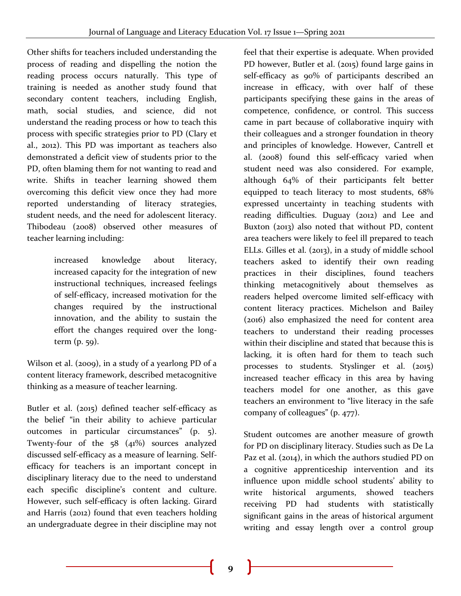Other shifts for teachers included understanding the process of reading and dispelling the notion the reading process occurs naturally. This type of training is needed as another study found that secondary content teachers, including English, math, social studies, and science, did not understand the reading process or how to teach this process with specific strategies prior to PD (Clary et al., 2012). This PD was important as teachers also demonstrated a deficit view of students prior to the PD, often blaming them for not wanting to read and write. Shifts in teacher learning showed them overcoming this deficit view once they had more reported understanding of literacy strategies, student needs, and the need for adolescent literacy. Thibodeau (2008) observed other measures of teacher learning including:

> increased knowledge about literacy, increased capacity for the integration of new instructional techniques, increased feelings of self-efficacy, increased motivation for the changes required by the instructional innovation, and the ability to sustain the effort the changes required over the longterm (p. 59).

Wilson et al. (2009), in a study of a yearlong PD of a content literacy framework, described metacognitive thinking as a measure of teacher learning.

Butler et al. (2015) defined teacher self-efficacy as the belief "in their ability to achieve particular outcomes in particular circumstances" (p. 5). Twenty-four of the 58 (41%) sources analyzed discussed self-efficacy as a measure of learning. Selfefficacy for teachers is an important concept in disciplinary literacy due to the need to understand each specific discipline's content and culture. However, such self-efficacy is often lacking. Girard and Harris (2012) found that even teachers holding an undergraduate degree in their discipline may not

feel that their expertise is adequate. When provided PD however, Butler et al. (2015) found large gains in self-efficacy as 90% of participants described an increase in efficacy, with over half of these participants specifying these gains in the areas of competence, confidence, or control. This success came in part because of collaborative inquiry with their colleagues and a stronger foundation in theory and principles of knowledge. However, Cantrell et al. (2008) found this self-efficacy varied when student need was also considered. For example, although 64% of their participants felt better equipped to teach literacy to most students, 68% expressed uncertainty in teaching students with reading difficulties. Duguay (2012) and Lee and Buxton (2013) also noted that without PD, content area teachers were likely to feel ill prepared to teach ELLs. Gilles et al. (2013), in a study of middle school teachers asked to identify their own reading practices in their disciplines, found teachers thinking metacognitively about themselves as readers helped overcome limited self-efficacy with content literacy practices. Michelson and Bailey (2016) also emphasized the need for content area teachers to understand their reading processes within their discipline and stated that because this is lacking, it is often hard for them to teach such processes to students. Styslinger et al. (2015) increased teacher efficacy in this area by having teachers model for one another, as this gave teachers an environment to "live literacy in the safe company of colleagues" (p. 477).

Student outcomes are another measure of growth for PD on disciplinary literacy. Studies such as De La Paz et al. (2014), in which the authors studied PD on a cognitive apprenticeship intervention and its influence upon middle school students' ability to write historical arguments, showed teachers receiving PD had students with statistically significant gains in the areas of historical argument writing and essay length over a control group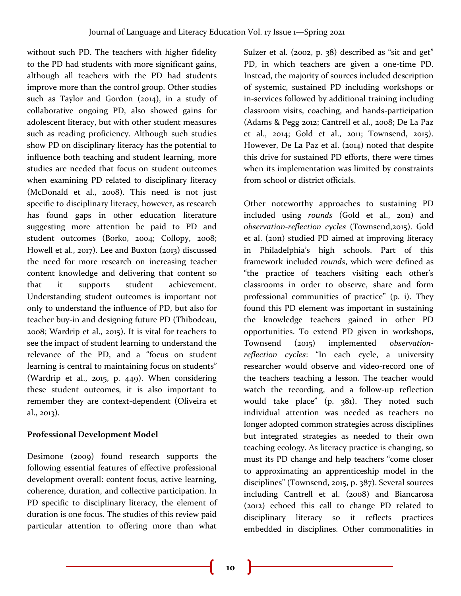without such PD. The teachers with higher fidelity to the PD had students with more significant gains, although all teachers with the PD had students improve more than the control group. Other studies such as Taylor and Gordon (2014), in a study of collaborative ongoing PD, also showed gains for adolescent literacy, but with other student measures such as reading proficiency. Although such studies show PD on disciplinary literacy has the potential to influence both teaching and student learning, more studies are needed that focus on student outcomes when examining PD related to disciplinary literacy (McDonald et al., 2008). This need is not just specific to disciplinary literacy, however, as research has found gaps in other education literature suggesting more attention be paid to PD and student outcomes (Borko, 2004; Collopy, 2008; Howell et al., 2017). Lee and Buxton (2013) discussed the need for more research on increasing teacher content knowledge and delivering that content so that it supports student achievement. Understanding student outcomes is important not only to understand the influence of PD, but also for teacher buy-in and designing future PD (Thibodeau, 2008; Wardrip et al., 2015). It is vital for teachers to see the impact of student learning to understand the relevance of the PD, and a "focus on student learning is central to maintaining focus on students" (Wardrip et al., 2015, p. 449). When considering these student outcomes, it is also important to remember they are context-dependent (Oliveira et al., 2013).

## **Professional Development Model**

Desimone (2009) found research supports the following essential features of effective professional development overall: content focus, active learning, coherence, duration, and collective participation. In PD specific to disciplinary literacy, the element of duration is one focus. The studies of this review paid particular attention to offering more than what

Sulzer et al. (2002, p. 38) described as "sit and get" PD, in which teachers are given a one-time PD. Instead, the majority of sources included description of systemic, sustained PD including workshops or in-services followed by additional training including classroom visits, coaching, and hands-participation (Adams & Pegg 2012; Cantrell et al., 2008; De La Paz et al., 2014; Gold et al., 2011; Townsend, 2015). However, De La Paz et al. (2014) noted that despite this drive for sustained PD efforts, there were times when its implementation was limited by constraints from school or district officials.

Other noteworthy approaches to sustaining PD included using *rounds* (Gold et al., 2011) and *observation-reflection cycles* (Townsend,2015). Gold et al. (2011) studied PD aimed at improving literacy in Philadelphia's high schools. Part of this framework included *rounds*, which were defined as "the practice of teachers visiting each other's classrooms in order to observe, share and form professional communities of practice" (p. i). They found this PD element was important in sustaining the knowledge teachers gained in other PD opportunities. To extend PD given in workshops, Townsend (2015) implemented *observationreflection cycles*: "In each cycle, a university researcher would observe and video-record one of the teachers teaching a lesson. The teacher would watch the recording, and a follow-up reflection would take place" (p. 381). They noted such individual attention was needed as teachers no longer adopted common strategies across disciplines but integrated strategies as needed to their own teaching ecology. As literacy practice is changing, so must its PD change and help teachers "come closer to approximating an apprenticeship model in the disciplines" (Townsend, 2015, p. 387). Several sources including Cantrell et al. (2008) and Biancarosa (2012) echoed this call to change PD related to disciplinary literacy so it reflects practices embedded in disciplines. Other commonalities in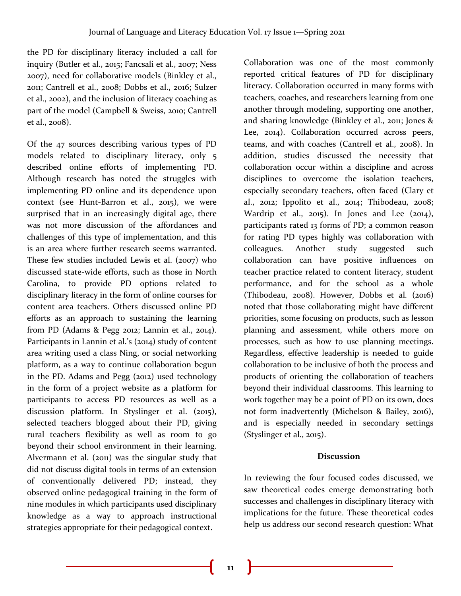the PD for disciplinary literacy included a call for inquiry (Butler et al., 2015; Fancsali et al., 2007; Ness 2007), need for collaborative models (Binkley et al., 2011; Cantrell et al., 2008; Dobbs et al., 2016; Sulzer et al., 2002), and the inclusion of literacy coaching as part of the model (Campbell & Sweiss, 2010; Cantrell et al., 2008).

Of the 47 sources describing various types of PD models related to disciplinary literacy, only 5 described online efforts of implementing PD. Although research has noted the struggles with implementing PD online and its dependence upon context (see Hunt-Barron et al., 2015), we were surprised that in an increasingly digital age, there was not more discussion of the affordances and challenges of this type of implementation, and this is an area where further research seems warranted. These few studies included Lewis et al. (2007) who discussed state-wide efforts, such as those in North Carolina, to provide PD options related to disciplinary literacy in the form of online courses for content area teachers. Others discussed online PD efforts as an approach to sustaining the learning from PD (Adams & Pegg 2012; Lannin et al., 2014). Participants in Lannin et al.'s (2014) study of content area writing used a class Ning, or social networking platform, as a way to continue collaboration begun in the PD. Adams and Pegg (2012) used technology in the form of a project website as a platform for participants to access PD resources as well as a discussion platform. In Styslinger et al. (2015), selected teachers blogged about their PD, giving rural teachers flexibility as well as room to go beyond their school environment in their learning. Alvermann et al. (2011) was the singular study that did not discuss digital tools in terms of an extension of conventionally delivered PD; instead, they observed online pedagogical training in the form of nine modules in which participants used disciplinary knowledge as a way to approach instructional strategies appropriate for their pedagogical context.

Collaboration was one of the most commonly reported critical features of PD for disciplinary literacy. Collaboration occurred in many forms with teachers, coaches, and researchers learning from one another through modeling, supporting one another, and sharing knowledge (Binkley et al., 2011; Jones & Lee, 2014). Collaboration occurred across peers, teams, and with coaches (Cantrell et al., 2008). In addition, studies discussed the necessity that collaboration occur within a discipline and across disciplines to overcome the isolation teachers, especially secondary teachers, often faced (Clary et al., 2012; Ippolito et al., 2014; Thibodeau, 2008; Wardrip et al., 2015). In Jones and Lee (2014), participants rated 13 forms of PD; a common reason for rating PD types highly was collaboration with colleagues. Another study suggested such collaboration can have positive influences on teacher practice related to content literacy, student performance, and for the school as a whole (Thibodeau, 2008). However, Dobbs et al*.* (2016) noted that those collaborating might have different priorities, some focusing on products, such as lesson planning and assessment, while others more on processes, such as how to use planning meetings. Regardless, effective leadership is needed to guide collaboration to be inclusive of both the process and products of orienting the collaboration of teachers beyond their individual classrooms. This learning to work together may be a point of PD on its own, does not form inadvertently (Michelson & Bailey, 2016), and is especially needed in secondary settings (Styslinger et al., 2015).

#### **Discussion**

In reviewing the four focused codes discussed, we saw theoretical codes emerge demonstrating both successes and challenges in disciplinary literacy with implications for the future. These theoretical codes help us address our second research question: What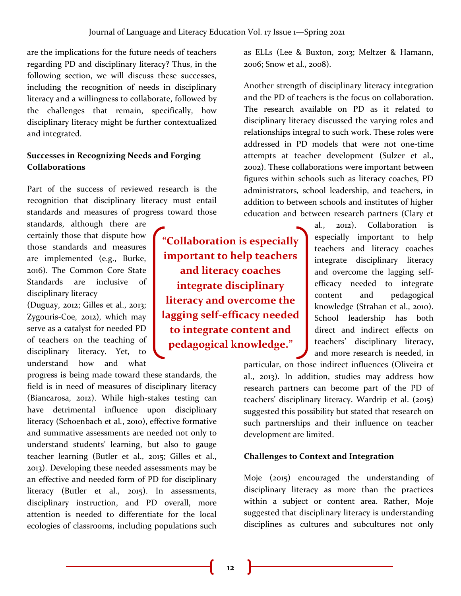are the implications for the future needs of teachers regarding PD and disciplinary literacy? Thus, in the following section, we will discuss these successes, including the recognition of needs in disciplinary literacy and a willingness to collaborate, followed by the challenges that remain, specifically, how disciplinary literacy might be further contextualized and integrated.

### **Successes in Recognizing Needs and Forging Collaborations**

Part of the success of reviewed research is the recognition that disciplinary literacy must entail standards and measures of progress toward those

standards, although there are certainly those that dispute how those standards and measures are implemented (e.g., Burke, 2016). The Common Core State Standards are inclusive of disciplinary literacy

(Duguay, 2012; Gilles et al., 2013; Zygouris-Coe, 2012), which may serve as a catalyst for needed PD of teachers on the teaching of disciplinary literacy. Yet, to understand how and what

progress is being made toward these standards, the field is in need of measures of disciplinary literacy (Biancarosa, 2012). While high-stakes testing can have detrimental influence upon disciplinary literacy (Schoenbach et al*.*, 2010), effective formative and summative assessments are needed not only to understand students' learning, but also to gauge teacher learning (Butler et al., 2015; Gilles et al., 2013). Developing these needed assessments may be an effective and needed form of PD for disciplinary literacy (Butler et al., 2015). In assessments, disciplinary instruction, and PD overall, more attention is needed to differentiate for the local ecologies of classrooms, including populations such

**"Collaboration is especially important to help teachers and literacy coaches integrate disciplinary literacy and overcome the lagging self-efficacy needed to integrate content and pedagogical knowledge."**

as ELLs (Lee & Buxton, 2013; Meltzer & Hamann, 2006; Snow et al., 2008).

Another strength of disciplinary literacy integration and the PD of teachers is the focus on collaboration. The research available on PD as it related to disciplinary literacy discussed the varying roles and relationships integral to such work. These roles were addressed in PD models that were not one-time attempts at teacher development (Sulzer et al., 2002). These collaborations were important between figures within schools such as literacy coaches, PD administrators, school leadership, and teachers, in addition to between schools and institutes of higher education and between research partners (Clary et

> al., 2012). Collaboration is especially important to help teachers and literacy coaches integrate disciplinary literacy and overcome the lagging selfefficacy needed to integrate content and pedagogical knowledge (Strahan et al., 2010). School leadership has both direct and indirect effects on teachers' disciplinary literacy, and more research is needed, in

particular, on those indirect influences (Oliveira et al., 2013). In addition, studies may address how research partners can become part of the PD of teachers' disciplinary literacy. Wardrip et al. (2015) suggested this possibility but stated that research on such partnerships and their influence on teacher development are limited.

#### **Challenges to Context and Integration**

Moje (2015) encouraged the understanding of disciplinary literacy as more than the practices within a subject or content area. Rather, Moje suggested that disciplinary literacy is understanding disciplines as cultures and subcultures not only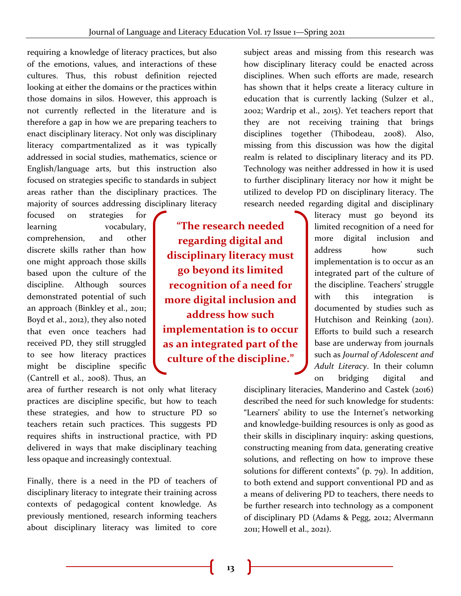requiring a knowledge of literacy practices, but also of the emotions, values, and interactions of these cultures. Thus, this robust definition rejected looking at either the domains or the practices within those domains in silos. However, this approach is not currently reflected in the literature and is therefore a gap in how we are preparing teachers to enact disciplinary literacy. Not only was disciplinary literacy compartmentalized as it was typically addressed in social studies, mathematics, science or English/language arts, but this instruction also focused on strategies specific to standards in subject areas rather than the disciplinary practices. The majority of sources addressing disciplinary literacy

focused on strategies for learning vocabulary, comprehension, and other discrete skills rather than how one might approach those skills based upon the culture of the discipline. Although sources demonstrated potential of such an approach (Binkley et al., 2011; Boyd et al., 2012), they also noted that even once teachers had received PD, they still struggled to see how literacy practices might be discipline specific (Cantrell et al., 2008). Thus, an

**"The research needed regarding digital and disciplinary literacy must go beyond its limited recognition of a need for more digital inclusion and address how such implementation is to occur as an integrated part of the culture of the discipline."**

area of further research is not only what literacy practices are discipline specific, but how to teach these strategies, and how to structure PD so teachers retain such practices. This suggests PD requires shifts in instructional practice, with PD delivered in ways that make disciplinary teaching less opaque and increasingly contextual.

Finally, there is a need in the PD of teachers of disciplinary literacy to integrate their training across contexts of pedagogical content knowledge. As previously mentioned, research informing teachers about disciplinary literacy was limited to core

subject areas and missing from this research was how disciplinary literacy could be enacted across disciplines. When such efforts are made, research has shown that it helps create a literacy culture in education that is currently lacking (Sulzer et al., 2002; Wardrip et al., 2015). Yet teachers report that they are not receiving training that brings disciplines together (Thibodeau, 2008). Also, missing from this discussion was how the digital realm is related to disciplinary literacy and its PD. Technology was neither addressed in how it is used to further disciplinary literacy nor how it might be utilized to develop PD on disciplinary literacy. The research needed regarding digital and disciplinary

> literacy must go beyond its limited recognition of a need for more digital inclusion and address how such implementation is to occur as an integrated part of the culture of the discipline. Teachers' struggle with this integration is documented by studies such as Hutchison and Reinking (2011). Efforts to build such a research base are underway from journals such as *Journal of Adolescent and Adult Literacy*. In their column on bridging digital and

disciplinary literacies, Manderino and Castek (2016) described the need for such knowledge for students: "Learners' ability to use the Internet's networking and knowledge-building resources is only as good as their skills in disciplinary inquiry: asking questions, constructing meaning from data, generating creative solutions, and reflecting on how to improve these solutions for different contexts" (p. 79). In addition, to both extend and support conventional PD and as a means of delivering PD to teachers, there needs to be further research into technology as a component of disciplinary PD (Adams & Pegg, 2012; Alvermann 2011; Howell et al., 2021).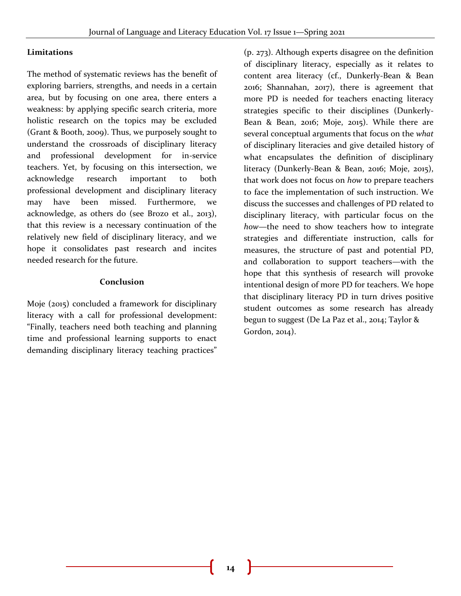#### **Limitations**

The method of systematic reviews has the benefit of exploring barriers, strengths, and needs in a certain area, but by focusing on one area, there enters a weakness: by applying specific search criteria, more holistic research on the topics may be excluded (Grant & Booth, 2009). Thus, we purposely sought to understand the crossroads of disciplinary literacy and professional development for in-service teachers. Yet, by focusing on this intersection, we acknowledge research important to both professional development and disciplinary literacy may have been missed. Furthermore, we acknowledge, as others do (see Brozo et al., 2013), that this review is a necessary continuation of the relatively new field of disciplinary literacy, and we hope it consolidates past research and incites needed research for the future.

#### **Conclusion**

Moje (2015) concluded a framework for disciplinary literacy with a call for professional development: "Finally, teachers need both teaching and planning time and professional learning supports to enact demanding disciplinary literacy teaching practices"

(p. 273). Although experts disagree on the definition of disciplinary literacy, especially as it relates to content area literacy (cf., Dunkerly-Bean & Bean 2016; Shannahan, 2017), there is agreement that more PD is needed for teachers enacting literacy strategies specific to their disciplines (Dunkerly-Bean & Bean, 2016; Moje, 2015). While there are several conceptual arguments that focus on the *what* of disciplinary literacies and give detailed history of what encapsulates the definition of disciplinary literacy (Dunkerly-Bean & Bean, 2016; Moje, 2015), that work does not focus on *how* to prepare teachers to face the implementation of such instruction. We discuss the successes and challenges of PD related to disciplinary literacy, with particular focus on the *how*—the need to show teachers how to integrate strategies and differentiate instruction, calls for measures, the structure of past and potential PD, and collaboration to support teachers—with the hope that this synthesis of research will provoke intentional design of more PD for teachers. We hope that disciplinary literacy PD in turn drives positive student outcomes as some research has already begun to suggest (De La Paz et al., 2014; Taylor & Gordon, 2014).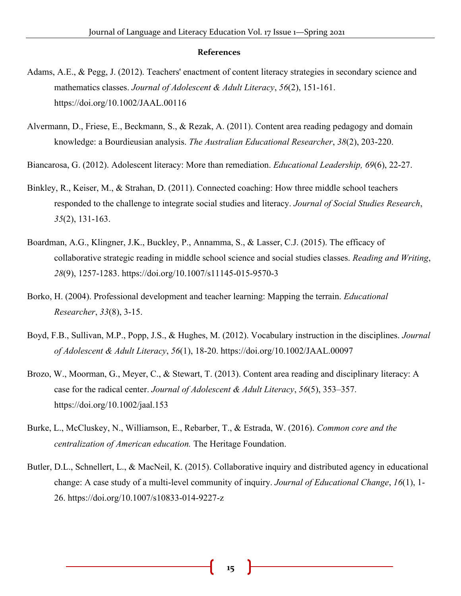#### **References**

- Adams, A.E., & Pegg, J. (2012). Teachers' enactment of content literacy strategies in secondary science and mathematics classes. *Journal of Adolescent & Adult Literacy*, *56*(2), 151-161. https://doi.org/10.1002/JAAL.00116
- Alvermann, D., Friese, E., Beckmann, S., & Rezak, A. (2011). Content area reading pedagogy and domain knowledge: a Bourdieusian analysis. *The Australian Educational Researcher*, *38*(2), 203-220.

Biancarosa, G. (2012). Adolescent literacy: More than remediation. *Educational Leadership, 69*(6), 22-27.

- Binkley, R., Keiser, M., & Strahan, D. (2011). Connected coaching: How three middle school teachers responded to the challenge to integrate social studies and literacy. *Journal of Social Studies Research*, *35*(2), 131-163.
- Boardman, A.G., Klingner, J.K., Buckley, P., Annamma, S., & Lasser, C.J. (2015). The efficacy of collaborative strategic reading in middle school science and social studies classes. *Reading and Writing*, *28*(9), 1257-1283. https://doi.org/10.1007/s11145-015-9570-3
- Borko, H. (2004). Professional development and teacher learning: Mapping the terrain. *Educational Researcher*, *33*(8), 3-15.
- Boyd, F.B., Sullivan, M.P., Popp, J.S., & Hughes, M. (2012). Vocabulary instruction in the disciplines. *Journal of Adolescent & Adult Literacy*, *56*(1), 18-20. https://doi.org/10.1002/JAAL.00097
- Brozo, W., Moorman, G., Meyer, C., & Stewart, T. (2013). Content area reading and disciplinary literacy: A case for the radical center. *Journal of Adolescent & Adult Literacy*, *56*(5), 353–357. https://doi.org/10.1002/jaal.153
- Burke, L., McCluskey, N., Williamson, E., Rebarber, T., & Estrada, W. (2016). *Common core and the centralization of American education.* The Heritage Foundation.
- Butler, D.L., Schnellert, L., & MacNeil, K. (2015). Collaborative inquiry and distributed agency in educational change: A case study of a multi-level community of inquiry. *Journal of Educational Change*, *16*(1), 1- 26. https://doi.org/10.1007/s10833-014-9227-z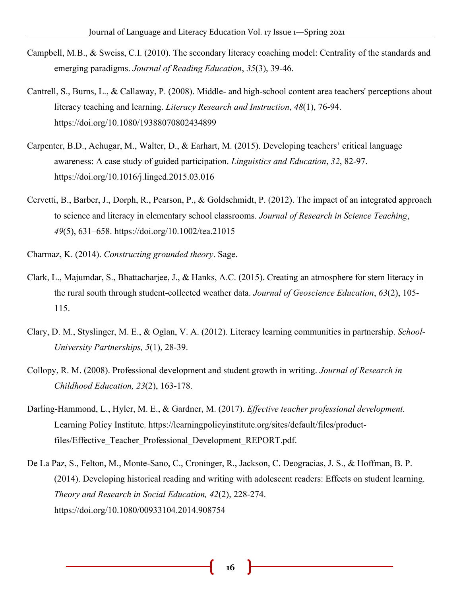- Campbell, M.B., & Sweiss, C.I. (2010). The secondary literacy coaching model: Centrality of the standards and emerging paradigms. *Journal of Reading Education*, *35*(3), 39-46.
- Cantrell, S., Burns, L., & Callaway, P. (2008). Middle- and high-school content area teachers' perceptions about literacy teaching and learning. *Literacy Research and Instruction*, *48*(1), 76-94. https://doi.org/10.1080/19388070802434899
- Carpenter, B.D., Achugar, M., Walter, D., & Earhart, M. (2015). Developing teachers' critical language awareness: A case study of guided participation. *Linguistics and Education*, *32*, 82-97. https://doi.org/10.1016/j.linged.2015.03.016
- Cervetti, B., Barber, J., Dorph, R., Pearson, P., & Goldschmidt, P. (2012). The impact of an integrated approach to science and literacy in elementary school classrooms. *Journal of Research in Science Teaching*, *49*(5), 631–658. https://doi.org/10.1002/tea.21015
- Charmaz, K. (2014). *Constructing grounded theory*. Sage.
- Clark, L., Majumdar, S., Bhattacharjee, J., & Hanks, A.C. (2015). Creating an atmosphere for stem literacy in the rural south through student-collected weather data. *Journal of Geoscience Education*, *63*(2), 105- 115.
- Clary, D. M., Styslinger, M. E., & Oglan, V. A. (2012). Literacy learning communities in partnership. *School-University Partnerships, 5*(1), 28-39.
- Collopy, R. M. (2008). Professional development and student growth in writing. *Journal of Research in Childhood Education, 23*(2), 163-178.
- Darling-Hammond, L., Hyler, M. E., & Gardner, M. (2017). *Effective teacher professional development.* Learning Policy Institute. https://learningpolicyinstitute.org/sites/default/files/productfiles/Effective\_Teacher\_Professional\_Development\_REPORT.pdf.
- De La Paz, S., Felton, M., Monte-Sano, C., Croninger, R., Jackson, C. Deogracias, J. S., & Hoffman, B. P. (2014). Developing historical reading and writing with adolescent readers: Effects on student learning. *Theory and Research in Social Education, 42*(2), 228-274. https://doi.org/10.1080/00933104.2014.908754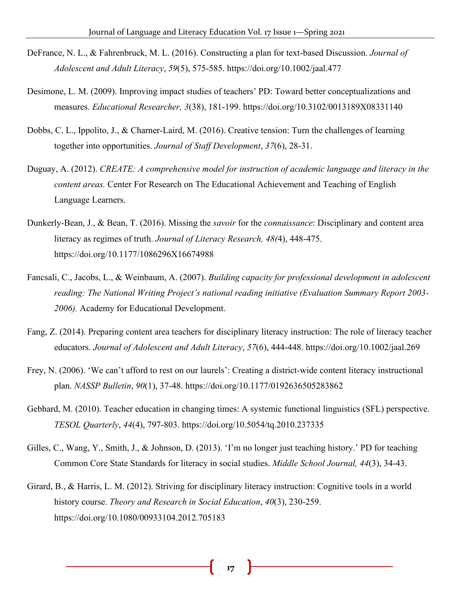- DeFrance, N. L., & Fahrenbruck, M. L. (2016). Constructing a plan for text-based Discussion. *Journal of Adolescent and Adult Literacy*, *59*(5), 575-585. https://doi.org/10.1002/jaal.477
- Desimone, L. M. (2009). Improving impact studies of teachers' PD: Toward better conceptualizations and measures. *Educational Researcher, 3*(38), 181-199. https://doi.org/10.3102/0013189X08331140
- Dobbs, C. L., Ippolito, J., & Charner-Laird, M. (2016). Creative tension: Turn the challenges of learning together into opportunities. *Journal of Staff Development*, *37*(6), 28-31.
- Duguay, A. (2012). *CREATE: A comprehensive model for instruction of academic language and literacy in the content areas.* Center For Research on The Educational Achievement and Teaching of English Language Learners.
- Dunkerly-Bean, J., & Bean, T. (2016). Missing the *savoir* for the *connaissance*: Disciplinary and content area literacy as regimes of truth. *Journal of Literacy Research, 48(*4), 448-475. https://doi.org/10.1177/1086296X16674988
- Fancsali, C., Jacobs, L., & Weinbaum, A. (2007). *Building capacity for professional development in adolescent reading: The National Writing Project's national reading initiative (Evaluation Summary Report 2003- 2006).* Academy for Educational Development.
- Fang, Z. (2014). Preparing content area teachers for disciplinary literacy instruction: The role of literacy teacher educators. *Journal of Adolescent and Adult Literacy*, *57*(6), 444-448. https://doi.org/10.1002/jaal.269
- Frey, N. (2006). 'We can't afford to rest on our laurels': Creating a district-wide content literacy instructional plan. *NASSP Bulletin*, *90*(1), 37-48. https://doi.org/10.1177/0192636505283862
- Gebhard, M. (2010). Teacher education in changing times: A systemic functional linguistics (SFL) perspective. *TESOL Quarterly*, *44*(4), 797-803. https://doi.org/10.5054/tq.2010.237335
- Gilles, C., Wang, Y., Smith, J., & Johnson, D. (2013). 'I'm no longer just teaching history.' PD for teaching Common Core State Standards for literacy in social studies. *Middle School Journal, 44*(3), 34-43.
- Girard, B., & Harris, L. M. (2012). Striving for disciplinary literacy instruction: Cognitive tools in a world history course. *Theory and Research in Social Education*, *40*(3), 230-259. https://doi.org/10.1080/00933104.2012.705183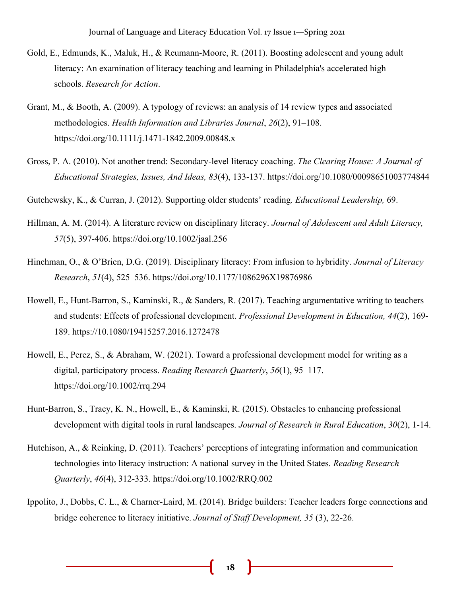- Gold, E., Edmunds, K., Maluk, H., & Reumann-Moore, R. (2011). Boosting adolescent and young adult literacy: An examination of literacy teaching and learning in Philadelphia's accelerated high schools. *Research for Action*.
- Grant, M., & Booth, A. (2009). A typology of reviews: an analysis of 14 review types and associated methodologies. *Health Information and Libraries Journal*, *26*(2), 91–108. https://doi.org/10.1111/j.1471-1842.2009.00848.x
- Gross, P. A. (2010). Not another trend: Secondary-level literacy coaching. *The Clearing House: A Journal of Educational Strategies, Issues, And Ideas, 83*(4), 133-137. https://doi.org/10.1080/00098651003774844
- Gutchewsky, K., & Curran, J. (2012). Supporting older students' reading*. Educational Leadership,* 69.
- Hillman, A. M. (2014). A literature review on disciplinary literacy. *Journal of Adolescent and Adult Literacy, 57*(5), 397-406. https://doi.org/10.1002/jaal.256
- Hinchman, O., & O'Brien, D.G. (2019). Disciplinary literacy: From infusion to hybridity. *Journal of Literacy Research*, *51*(4), 525–536. https://doi.org/10.1177/1086296X19876986
- Howell, E., Hunt-Barron, S., Kaminski, R., & Sanders, R. (2017). Teaching argumentative writing to teachers and students: Effects of professional development. *Professional Development in Education, 44*(2), 169- 189. https://10.1080/19415257.2016.1272478
- Howell, E., Perez, S., & Abraham, W. (2021). Toward a professional development model for writing as a digital, participatory process. *Reading Research Quarterly*, *56*(1), 95–117. https://doi.org/10.1002/rrq.294
- Hunt-Barron, S., Tracy, K. N., Howell, E., & Kaminski, R. (2015). Obstacles to enhancing professional development with digital tools in rural landscapes. *Journal of Research in Rural Education*, *30*(2), 1-14.
- Hutchison, A., & Reinking, D. (2011). Teachers' perceptions of integrating information and communication technologies into literacy instruction: A national survey in the United States. *Reading Research Quarterly*, *46*(4), 312-333. https://doi.org/10.1002/RRQ.002
- Ippolito, J., Dobbs, C. L., & Charner-Laird, M. (2014). Bridge builders: Teacher leaders forge connections and bridge coherence to literacy initiative. *Journal of Staff Development, 35* (3), 22-26.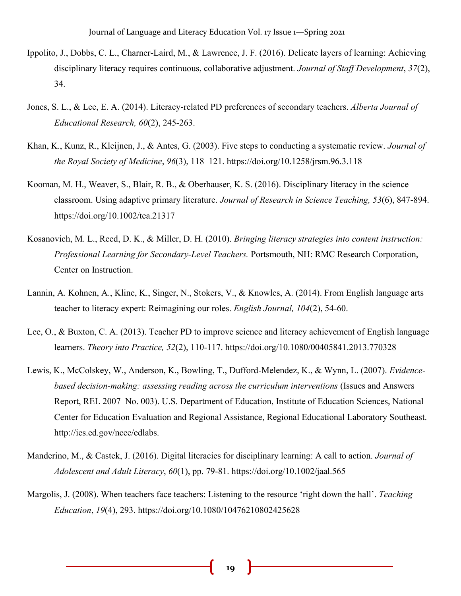- Ippolito, J., Dobbs, C. L., Charner-Laird, M., & Lawrence, J. F. (2016). Delicate layers of learning: Achieving disciplinary literacy requires continuous, collaborative adjustment. *Journal of Staff Development*, *37*(2), 34.
- Jones, S. L., & Lee, E. A. (2014). Literacy-related PD preferences of secondary teachers. *Alberta Journal of Educational Research, 60*(2), 245-263.
- Khan, K., Kunz, R., Kleijnen, J., & Antes, G. (2003). Five steps to conducting a systematic review. *Journal of the Royal Society of Medicine*, *96*(3), 118–121. https://doi.org/10.1258/jrsm.96.3.118
- Kooman, M. H., Weaver, S., Blair, R. B., & Oberhauser, K. S. (2016). Disciplinary literacy in the science classroom. Using adaptive primary literature. *Journal of Research in Science Teaching, 53*(6), 847-894. https://doi.org/10.1002/tea.21317
- Kosanovich, M. L., Reed, D. K., & Miller, D. H. (2010). *Bringing literacy strategies into content instruction: Professional Learning for Secondary-Level Teachers.* Portsmouth, NH: RMC Research Corporation, Center on Instruction.
- Lannin, A. Kohnen, A., Kline, K., Singer, N., Stokers, V., & Knowles, A. (2014). From English language arts teacher to literacy expert: Reimagining our roles. *English Journal, 104*(2), 54-60.
- Lee, O., & Buxton, C. A. (2013). Teacher PD to improve science and literacy achievement of English language learners. *Theory into Practice, 52*(2), 110-117. https://doi.org/10.1080/00405841.2013.770328
- Lewis, K., McColskey, W., Anderson, K., Bowling, T., Dufford-Melendez, K., & Wynn, L. (2007). *Evidencebased decision-making: assessing reading across the curriculum interventions* (Issues and Answers Report, REL 2007–No. 003). U.S. Department of Education, Institute of Education Sciences, National Center for Education Evaluation and Regional Assistance, Regional Educational Laboratory Southeast. http://ies.ed.gov/ncee/edlabs.
- Manderino, M., & Castek, J. (2016). Digital literacies for disciplinary learning: A call to action. *Journal of Adolescent and Adult Literacy*, *60*(1), pp. 79-81. https://doi.org/10.1002/jaal.565
- Margolis, J. (2008). When teachers face teachers: Listening to the resource 'right down the hall'. *Teaching Education*, *19*(4), 293. https://doi.org/10.1080/10476210802425628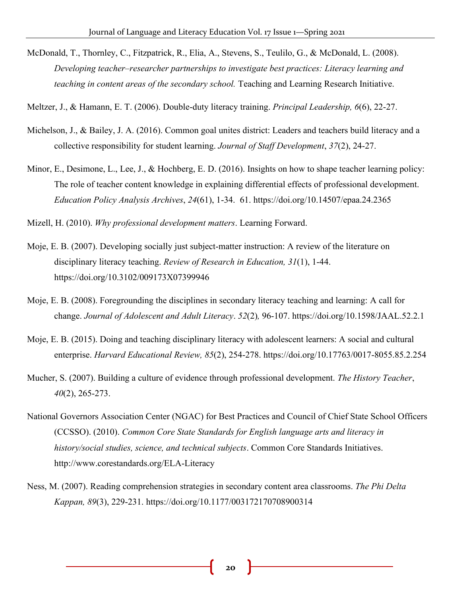- McDonald, T., Thornley, C., Fitzpatrick, R., Elia, A., Stevens, S., Teulilo, G., & McDonald, L. (2008). *Developing teacher–researcher partnerships to investigate best practices: Literacy learning and teaching in content areas of the secondary school.* Teaching and Learning Research Initiative.
- Meltzer, J., & Hamann, E. T. (2006). Double-duty literacy training. *Principal Leadership, 6*(6), 22-27.
- Michelson, J., & Bailey, J. A. (2016). Common goal unites district: Leaders and teachers build literacy and a collective responsibility for student learning. *Journal of Staff Development*, *37*(2), 24-27.
- Minor, E., Desimone, L., Lee, J., & Hochberg, E. D. (2016). Insights on how to shape teacher learning policy: The role of teacher content knowledge in explaining differential effects of professional development. *Education Policy Analysis Archives*, *24*(61), 1-34. 61. https://doi.org/10.14507/epaa.24.2365

Mizell, H. (2010). *Why professional development matters*. Learning Forward.

- Moje, E. B. (2007). Developing socially just subject-matter instruction: A review of the literature on disciplinary literacy teaching. *Review of Research in Education, 31*(1), 1-44. https://doi.org/10.3102/009173X07399946
- Moje, E. B. (2008). Foregrounding the disciplines in secondary literacy teaching and learning: A call for change. *Journal of Adolescent and Adult Literacy*. *52*(2)*,* 96-107. https://doi.org/10.1598/JAAL.52.2.1
- Moje, E. B. (2015). Doing and teaching disciplinary literacy with adolescent learners: A social and cultural enterprise. *Harvard Educational Review, 85*(2), 254-278. https://doi.org/10.17763/0017-8055.85.2.254
- Mucher, S. (2007). Building a culture of evidence through professional development. *The History Teacher*, *40*(2), 265-273.
- National Governors Association Center (NGAC) for Best Practices and Council of Chief State School Officers (CCSSO). (2010). *Common Core State Standards for English language arts and literacy in history/social studies, science, and technical subjects*. Common Core Standards Initiatives. http://www.corestandards.org/ELA-Literacy
- Ness, M. (2007). Reading comprehension strategies in secondary content area classrooms. *The Phi Delta Kappan, 89*(3), 229-231. https://doi.org/10.1177/003172170708900314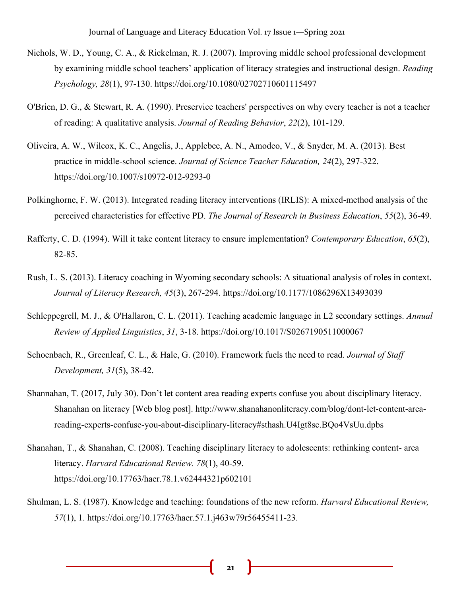- Nichols, W. D., Young, C. A., & Rickelman, R. J. (2007). Improving middle school professional development by examining middle school teachers' application of literacy strategies and instructional design. *Reading Psychology, 28*(1), 97-130. https://doi.org/10.1080/02702710601115497
- O'Brien, D. G., & Stewart, R. A. (1990). Preservice teachers' perspectives on why every teacher is not a teacher of reading: A qualitative analysis. *Journal of Reading Behavior*, *22*(2), 101-129.
- Oliveira, A. W., Wilcox, K. C., Angelis, J., Applebee, A. N., Amodeo, V., & Snyder, M. A. (2013). Best practice in middle-school science. *Journal of Science Teacher Education, 24*(2), 297-322. https://doi.org/10.1007/s10972-012-9293-0
- Polkinghorne, F. W. (2013). Integrated reading literacy interventions (IRLIS): A mixed-method analysis of the perceived characteristics for effective PD. *The Journal of Research in Business Education*, *55*(2), 36-49.
- Rafferty, C. D. (1994). Will it take content literacy to ensure implementation? *Contemporary Education*, *65*(2), 82-85.
- Rush, L. S. (2013). Literacy coaching in Wyoming secondary schools: A situational analysis of roles in context. *Journal of Literacy Research, 45*(3), 267-294. https://doi.org/10.1177/1086296X13493039
- Schleppegrell, M. J., & O'Hallaron, C. L. (2011). Teaching academic language in L2 secondary settings. *Annual Review of Applied Linguistics*, *31*, 3-18. https://doi.org/10.1017/S0267190511000067
- Schoenbach, R., Greenleaf, C. L., & Hale, G. (2010). Framework fuels the need to read. *Journal of Staff Development, 31*(5), 38-42.
- Shannahan, T. (2017, July 30). Don't let content area reading experts confuse you about disciplinary literacy. Shanahan on literacy [Web blog post]. http://www.shanahanonliteracy.com/blog/dont-let-content-areareading-experts-confuse-you-about-disciplinary-literacy#sthash.U4Igt8sc.BQo4VsUu.dpbs
- Shanahan, T., & Shanahan, C. (2008). Teaching disciplinary literacy to adolescents: rethinking content- area literacy. *Harvard Educational Review. 78*(1), 40-59. https://doi.org/10.17763/haer.78.1.v62444321p602101
- Shulman, L. S. (1987). Knowledge and teaching: foundations of the new reform. *Harvard Educational Review, 57*(1), 1. https://doi.org/10.17763/haer.57.1.j463w79r56455411-23.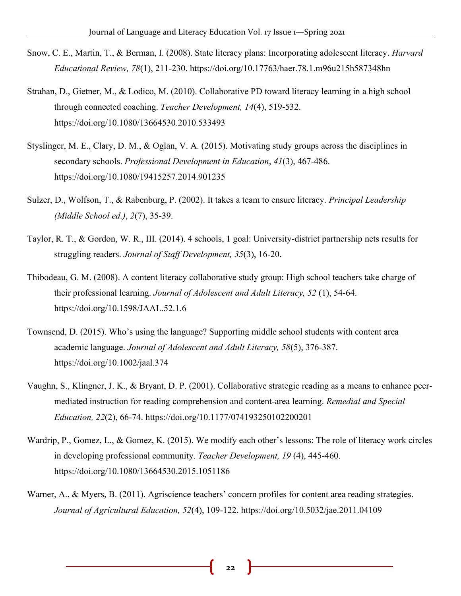- Snow, C. E., Martin, T., & Berman, I. (2008). State literacy plans: Incorporating adolescent literacy. *Harvard Educational Review, 78*(1), 211-230. https://doi.org/10.17763/haer.78.1.m96u215h587348hn
- Strahan, D., Gietner, M., & Lodico, M. (2010). Collaborative PD toward literacy learning in a high school through connected coaching. *Teacher Development, 14*(4), 519-532. https://doi.org/10.1080/13664530.2010.533493
- Styslinger, M. E., Clary, D. M., & Oglan, V. A. (2015). Motivating study groups across the disciplines in secondary schools. *Professional Development in Education*, *41*(3), 467-486. https://doi.org/10.1080/19415257.2014.901235
- Sulzer, D., Wolfson, T., & Rabenburg, P. (2002). It takes a team to ensure literacy. *Principal Leadership (Middle School ed.)*, *2*(7), 35-39.
- Taylor, R. T., & Gordon, W. R., III. (2014). 4 schools, 1 goal: University-district partnership nets results for struggling readers. *Journal of Staff Development, 35*(3), 16-20.
- Thibodeau, G. M. (2008). A content literacy collaborative study group: High school teachers take charge of their professional learning. *Journal of Adolescent and Adult Literacy, 52* (1), 54-64. https://doi.org/10.1598/JAAL.52.1.6
- Townsend, D. (2015). Who's using the language? Supporting middle school students with content area academic language. *Journal of Adolescent and Adult Literacy, 58*(5), 376-387. https://doi.org/10.1002/jaal.374
- Vaughn, S., Klingner, J. K., & Bryant, D. P. (2001). Collaborative strategic reading as a means to enhance peermediated instruction for reading comprehension and content-area learning. *Remedial and Special Education, 22*(2), 66-74. https://doi.org/10.1177/074193250102200201
- Wardrip, P., Gomez, L., & Gomez, K. (2015). We modify each other's lessons: The role of literacy work circles in developing professional community. *Teacher Development, 19* (4), 445-460. https://doi.org/10.1080/13664530.2015.1051186
- Warner, A., & Myers, B. (2011). Agriscience teachers' concern profiles for content area reading strategies. *Journal of Agricultural Education, 52*(4), 109-122. https://doi.org/10.5032/jae.2011.04109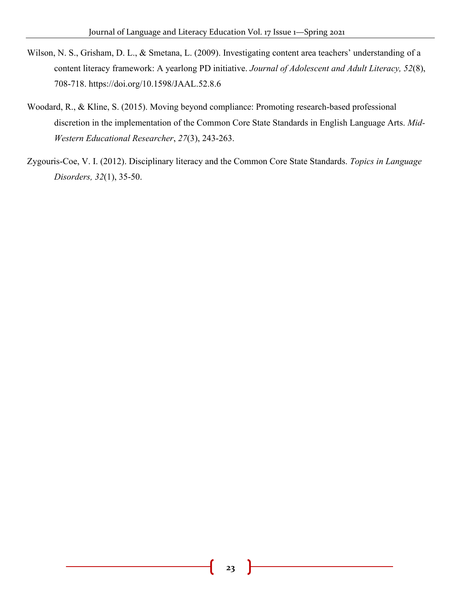- Wilson, N. S., Grisham, D. L., & Smetana, L. (2009). Investigating content area teachers' understanding of a content literacy framework: A yearlong PD initiative. *Journal of Adolescent and Adult Literacy, 52*(8), 708-718. https://doi.org/10.1598/JAAL.52.8.6
- Woodard, R., & Kline, S. (2015). Moving beyond compliance: Promoting research-based professional discretion in the implementation of the Common Core State Standards in English Language Arts. *Mid-Western Educational Researcher*, *27*(3), 243-263.
- Zygouris-Coe, V. I. (2012). Disciplinary literacy and the Common Core State Standards. *Topics in Language Disorders, 32*(1), 35-50.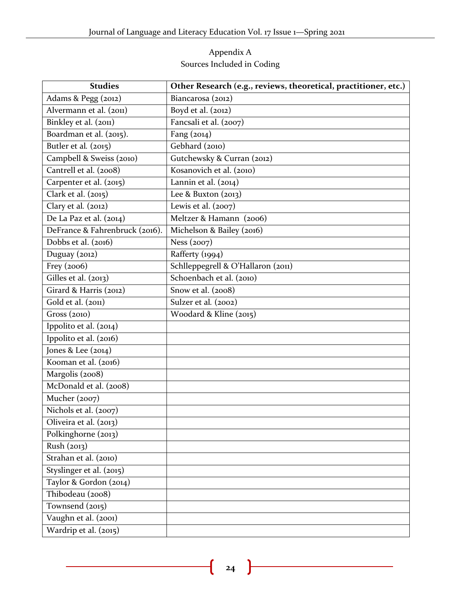## Appendix A Sources Included in Coding

| <b>Studies</b>                 | Other Research (e.g., reviews, theoretical, practitioner, etc.) |
|--------------------------------|-----------------------------------------------------------------|
| Adams & Pegg (2012)            | Biancarosa (2012)                                               |
| Alvermann et al. (2011)        | Boyd et al. (2012)                                              |
| Binkley et al. (2011)          | Fancsali et al. (2007)                                          |
| Boardman et al. (2015).        | Fang (2014)                                                     |
| Butler et al. (2015)           | Gebhard (2010)                                                  |
| Campbell & Sweiss (2010)       | Gutchewsky & Curran (2012)                                      |
| Cantrell et al. (2008)         | Kosanovich et al. (2010)                                        |
| Carpenter et al. (2015)        | Lannin et al. (2014)                                            |
| Clark et al. (2015)            | Lee & Buxton $(2013)$                                           |
| Clary et al. (2012)            | Lewis et al. $(2007)$                                           |
| De La Paz et al. (2014)        | Meltzer & Hamann (2006)                                         |
| DeFrance & Fahrenbruck (2016). | Michelson & Bailey (2016)                                       |
| Dobbs et al. (2016)            | Ness (2007)                                                     |
| Duguay (2012)                  | Rafferty (1994)                                                 |
| Frey (2006)                    | Schlleppegrell & O'Hallaron (2011)                              |
| Gilles et al. (2013)           | Schoenbach et al. (2010)                                        |
| Girard & Harris (2012)         | Snow et al. (2008)                                              |
| Gold et al. (2011)             | Sulzer et al. (2002)                                            |
| Gross (2010)                   | Woodard & Kline (2015)                                          |
| Ippolito et al. (2014)         |                                                                 |
| Ippolito et al. (2016)         |                                                                 |
| Jones & Lee (2014)             |                                                                 |
| Kooman et al. (2016)           |                                                                 |
| Margolis (2008)                |                                                                 |
| McDonald et al. (2008)         |                                                                 |
| Mucher (2007)                  |                                                                 |
| Nichols et al. (2007)          |                                                                 |
| Oliveira et al. (2013)         |                                                                 |
| Polkinghorne (2013)            |                                                                 |
| Rush (2013)                    |                                                                 |
| Strahan et al. (2010)          |                                                                 |
| Styslinger et al. (2015)       |                                                                 |
| Taylor & Gordon (2014)         |                                                                 |
| Thibodeau (2008)               |                                                                 |
| Townsend (2015)                |                                                                 |
| Vaughn et al. (2001)           |                                                                 |
| Wardrip et al. (2015)          |                                                                 |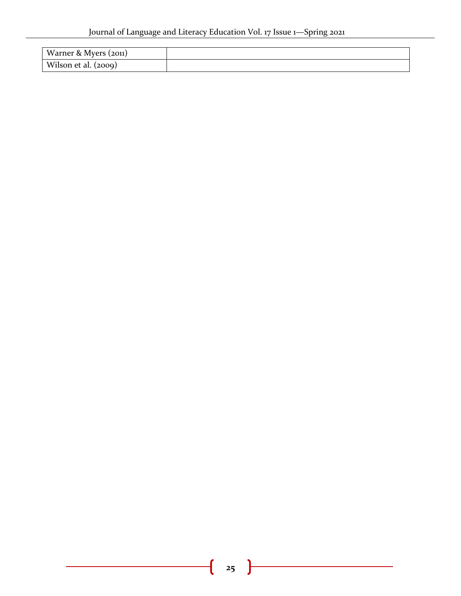| Warner & Myers (2011) |  |
|-----------------------|--|
| Wilson et al. (2009)  |  |

ſ